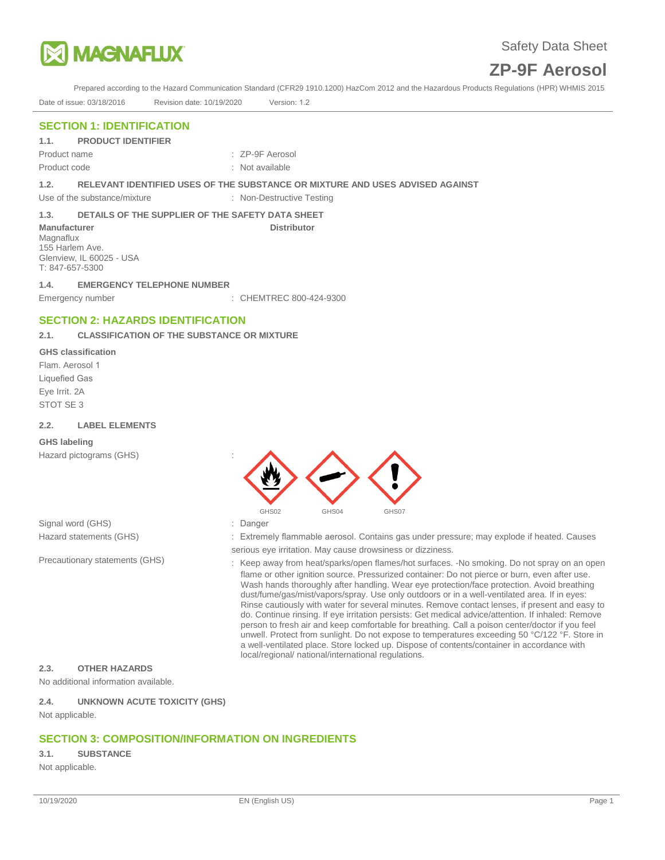

Prepared according to the Hazard Communication Standard (CFR29 1910.1200) HazCom 2012 and the Hazardous Products Regulations (HPR) WHMIS 2015 Date of issue: 03/18/2016 Revision date: 10/19/2020 Version: 1.2

## **SECTION 1: IDENTIFICATION**

**1.1. PRODUCT IDENTIFIER**

Product code : Not available

Product name : ZP-9F Aerosol

**1.2. RELEVANT IDENTIFIED USES OF THE SUBSTANCE OR MIXTURE AND USES ADVISED AGAINST**

**Distributor** 

Use of the substance/mixture : Non-Destructive Testing

#### **1.3. DETAILS OF THE SUPPLIER OF THE SAFETY DATA SHEET**

**Manufacturer**  Magnaflux 155 Harlem Ave. Glenview, IL 60025 - USA T: 847-657-5300

**1.4. EMERGENCY TELEPHONE NUMBER** Emergency number : CHEMTREC 800-424-9300

## **SECTION 2: HAZARDS IDENTIFICATION**

#### **2.1. CLASSIFICATION OF THE SUBSTANCE OR MIXTURE**

#### **GHS classification**

Flam. Aerosol 1 Liquefied Gas Eye Irrit. 2A STOT SE 3

#### **2.2. LABEL ELEMENTS**

#### **GHS labeling**

Hazard pictograms (GHS) :



Signal word (GHS) Hazard statements (GHS)

Precautionary statements (GHS)

- : Danger
- : Extremely flammable aerosol. Contains gas under pressure; may explode if heated. Causes
- serious eye irritation. May cause drowsiness or dizziness.
- : Keep away from heat/sparks/open flames/hot surfaces. -No smoking. Do not spray on an open flame or other ignition source. Pressurized container: Do not pierce or burn, even after use. Wash hands thoroughly after handling. Wear eye protection/face protection. Avoid breathing dust/fume/gas/mist/vapors/spray. Use only outdoors or in a well-ventilated area. If in eyes: Rinse cautiously with water for several minutes. Remove contact lenses, if present and easy to do. Continue rinsing. If eye irritation persists: Get medical advice/attention. If inhaled: Remove person to fresh air and keep comfortable for breathing. Call a poison center/doctor if you feel unwell. Protect from sunlight. Do not expose to temperatures exceeding 50 °C/122 °F. Store in a well-ventilated place. Store locked up. Dispose of contents/container in accordance with local/regional/ national/international regulations.

#### **2.3. OTHER HAZARDS**

No additional information available.

#### **2.4. UNKNOWN ACUTE TOXICITY (GHS)**

Not applicable.

## **SECTION 3: COMPOSITION/INFORMATION ON INGREDIENTS**

#### **3.1. SUBSTANCE**

Not applicable.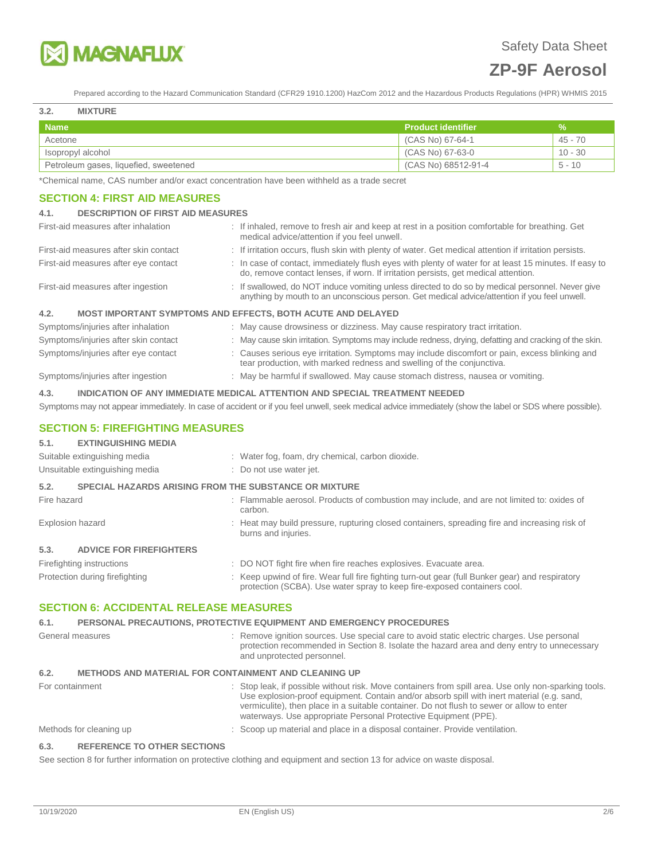

Prepared according to the Hazard Communication Standard (CFR29 1910.1200) HazCom 2012 and the Hazardous Products Regulations (HPR) WHMIS 2015

#### **3.2. MIXTURE**

| <b>Name</b>                           | <b>Product identifier</b> | %         |
|---------------------------------------|---------------------------|-----------|
| Acetone                               | (CAS No) 67-64-1          | 45 - 70   |
| Isopropyl alcohol                     | (CAS No) 67-63-0          | $10 - 30$ |
| Petroleum gases, liquefied, sweetened | (CAS No) 68512-91-4       | $5 - 10$  |

\*Chemical name, CAS number and/or exact concentration have been withheld as a trade secret

#### **SECTION 4: FIRST AID MEASURES**

#### **4.1. DESCRIPTION OF FIRST AID MEASURES**

| First-aid measures after inhalation   | : If inhaled, remove to fresh air and keep at rest in a position comfortable for breathing. Get<br>medical advice/attention if you feel unwell.                                                  |
|---------------------------------------|--------------------------------------------------------------------------------------------------------------------------------------------------------------------------------------------------|
| First-aid measures after skin contact | : If irritation occurs, flush skin with plenty of water. Get medical attention if irritation persists.                                                                                           |
| First-aid measures after eye contact  | : In case of contact, immediately flush eyes with plenty of water for at least 15 minutes. If easy to<br>do, remove contact lenses, if worn. If irritation persists, get medical attention.      |
| First-aid measures after ingestion    | : If swallowed, do NOT induce vomiting unless directed to do so by medical personnel. Never give<br>anything by mouth to an unconscious person. Get medical advice/attention if you feel unwell. |
| 4.2.                                  | MOST IMPORTANT SYMPTOMS AND EFFECTS, BOTH ACUTE AND DELAYED                                                                                                                                      |
| Symptoms/injuries after inhalation    | : May cause drowsiness or dizziness. May cause respiratory tract irritation.                                                                                                                     |
| Symptoms/injuries after skin contact  | : May cause skin irritation. Symptoms may include redness, drying, defatting and cracking of the skin.                                                                                           |
| Symptoms/injuries after eye contact   | : Causes serious eye irritation. Symptoms may include discomfort or pain, excess blinking and<br>tear production, with marked redness and swelling of the conjunctiva.                           |
| Symptoms/injuries after ingestion     | : May be harmful if swallowed. May cause stomach distress, nausea or vomiting.                                                                                                                   |

#### **4.3. INDICATION OF ANY IMMEDIATE MEDICAL ATTENTION AND SPECIAL TREATMENT NEEDED**

Symptoms may not appear immediately. In case of accident or if you feel unwell, seek medical advice immediately (show the label or SDS where possible).

#### **SECTION 5: FIREFIGHTING MEASURES**

### **5.1. EXTINGUISHING MEDIA**

| Suitable extinguishing media<br>Unsuitable extinguishing media       | : Water fog, foam, dry chemical, carbon dioxide.<br>: Do not use water jet.                                                                                                 |
|----------------------------------------------------------------------|-----------------------------------------------------------------------------------------------------------------------------------------------------------------------------|
| 5.2.<br><b>SPECIAL HAZARDS ARISING FROM THE SUBSTANCE OR MIXTURE</b> |                                                                                                                                                                             |
| Fire hazard                                                          | : Flammable aerosol. Products of combustion may include, and are not limited to: oxides of<br>carbon.                                                                       |
| Explosion hazard                                                     | : Heat may build pressure, rupturing closed containers, spreading fire and increasing risk of<br>burns and injuries.                                                        |
| 5.3.<br><b>ADVICE FOR FIREFIGHTERS</b>                               |                                                                                                                                                                             |
| Firefighting instructions                                            | : DO NOT fight fire when fire reaches explosives. Evacuate area.                                                                                                            |
| Protection during firefighting                                       | : Keep upwind of fire. Wear full fire fighting turn-out gear (full Bunker gear) and respiratory<br>protection (SCBA). Use water spray to keep fire-exposed containers cool. |

## **SECTION 6: ACCIDENTAL RELEASE MEASURES**

### **6.1. PERSONAL PRECAUTIONS, PROTECTIVE EQUIPMENT AND EMERGENCY PROCEDURES**

| General measures                                                    | : Remove ignition sources. Use special care to avoid static electric charges. Use personal<br>protection recommended in Section 8. Isolate the hazard area and deny entry to unnecessary<br>and unprotected personnel.                                                                                                                                             |  |
|---------------------------------------------------------------------|--------------------------------------------------------------------------------------------------------------------------------------------------------------------------------------------------------------------------------------------------------------------------------------------------------------------------------------------------------------------|--|
| 6.2.<br><b>METHODS AND MATERIAL FOR CONTAINMENT AND CLEANING UP</b> |                                                                                                                                                                                                                                                                                                                                                                    |  |
| For containment                                                     | : Stop leak, if possible without risk. Move containers from spill area. Use only non-sparking tools.<br>Use explosion-proof equipment. Contain and/or absorb spill with inert material (e.g. sand,<br>vermiculite), then place in a suitable container. Do not flush to sewer or allow to enter<br>waterways. Use appropriate Personal Protective Equipment (PPE). |  |
| Methods for cleaning up                                             | : Scoop up material and place in a disposal container. Provide ventilation.                                                                                                                                                                                                                                                                                        |  |

#### **6.3. REFERENCE TO OTHER SECTIONS**

See section 8 for further information on protective clothing and equipment and section 13 for advice on waste disposal.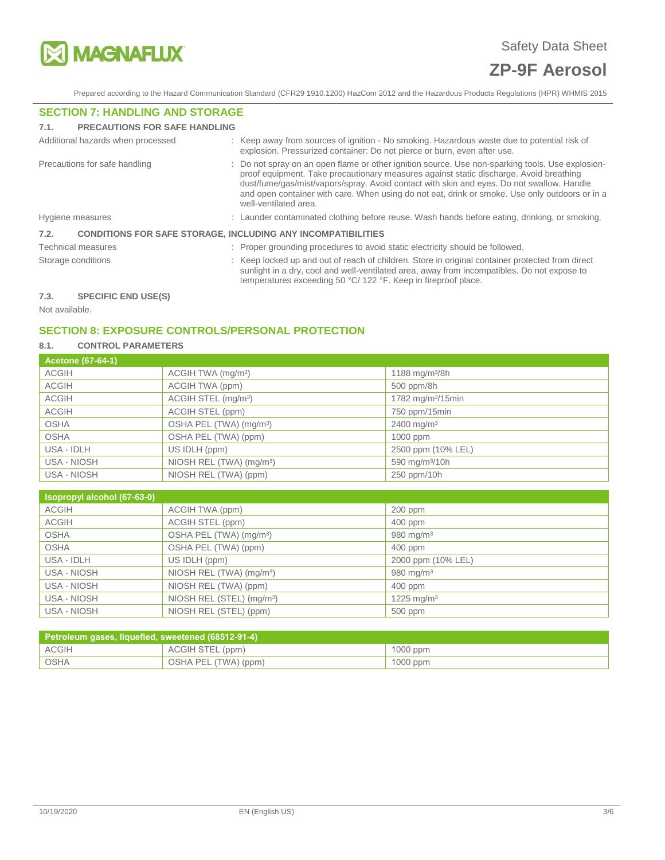

Prepared according to the Hazard Communication Standard (CFR29 1910.1200) HazCom 2012 and the Hazardous Products Regulations (HPR) WHMIS 2015

## **SECTION 7: HANDLING AND STORAGE**

| 7.1. | <b>PRECAUTIONS FOR SAFE HANDLING</b>                                |                                                                                                                                                                                                                                                                                                                                                                                                                    |
|------|---------------------------------------------------------------------|--------------------------------------------------------------------------------------------------------------------------------------------------------------------------------------------------------------------------------------------------------------------------------------------------------------------------------------------------------------------------------------------------------------------|
|      | Additional hazards when processed                                   | : Keep away from sources of ignition - No smoking. Hazardous waste due to potential risk of<br>explosion. Pressurized container: Do not pierce or burn, even after use.                                                                                                                                                                                                                                            |
|      | Precautions for safe handling                                       | : Do not spray on an open flame or other ignition source. Use non-sparking tools. Use explosion-<br>proof equipment. Take precautionary measures against static discharge. Avoid breathing<br>dust/fume/gas/mist/vapors/spray. Avoid contact with skin and eyes. Do not swallow. Handle<br>and open container with care. When using do not eat, drink or smoke. Use only outdoors or in a<br>well-ventilated area. |
|      | Hygiene measures                                                    | : Launder contaminated clothing before reuse. Wash hands before eating, drinking, or smoking.                                                                                                                                                                                                                                                                                                                      |
| 7.2. | <b>CONDITIONS FOR SAFE STORAGE, INCLUDING ANY INCOMPATIBILITIES</b> |                                                                                                                                                                                                                                                                                                                                                                                                                    |
|      | Technical measures                                                  | : Proper grounding procedures to avoid static electricity should be followed.                                                                                                                                                                                                                                                                                                                                      |
|      | Storage conditions                                                  | : Keep locked up and out of reach of children. Store in original container protected from direct<br>sunlight in a dry, cool and well-ventilated area, away from incompatibles. Do not expose to<br>temperatures exceeding 50 °C/ 122 °F. Keep in fireproof place.                                                                                                                                                  |
| 7.3. | <b>SPECIFIC END USE(S)</b>                                          |                                                                                                                                                                                                                                                                                                                                                                                                                    |

Not available.

## **SECTION 8: EXPOSURE CONTROLS/PERSONAL PROTECTION**

## **8.1. CONTROL PARAMETERS**

| <b>Acetone (67-64-1)</b> |                                      |                               |
|--------------------------|--------------------------------------|-------------------------------|
| <b>ACGIH</b>             | ACGIH TWA (mg/m <sup>3</sup> )       | 1188 mg/m $3/8h$              |
| <b>ACGIH</b>             | ACGIH TWA (ppm)                      | 500 ppm/8h                    |
| <b>ACGIH</b>             | ACGIH STEL (mg/m <sup>3</sup> )      | 1782 mg/m <sup>3</sup> /15min |
| <b>ACGIH</b>             | ACGIH STEL (ppm)                     | 750 ppm/15min                 |
| <b>OSHA</b>              | OSHA PEL (TWA) (mg/m <sup>3</sup> )  | $2400 \text{ mg/m}^3$         |
| <b>OSHA</b>              | OSHA PEL (TWA) (ppm)                 | 1000 ppm                      |
| USA - IDLH               | US IDLH (ppm)                        | 2500 ppm (10% LEL)            |
| USA - NIOSH              | NIOSH REL (TWA) (mg/m <sup>3</sup> ) | 590 mg/m <sup>3</sup> /10h    |
| USA - NIOSH              | NIOSH REL (TWA) (ppm)                | 250 ppm/10h                   |

| Isopropyl alcohol (67-63-0) |                                       |                        |
|-----------------------------|---------------------------------------|------------------------|
| <b>ACGIH</b>                | ACGIH TWA (ppm)                       | $200$ ppm              |
| <b>ACGIH</b>                | ACGIH STEL (ppm)                      | 400 ppm                |
| <b>OSHA</b>                 | OSHA PEL (TWA) (mg/m <sup>3</sup> )   | 980 mg/m $3$           |
| <b>OSHA</b>                 | OSHA PEL (TWA) (ppm)                  | $400$ ppm              |
| USA - IDLH                  | US IDLH (ppm)                         | 2000 ppm (10% LEL)     |
| USA - NIOSH                 | NIOSH REL (TWA) (mg/m <sup>3</sup> )  | 980 mg/m $3$           |
| USA - NIOSH                 | NIOSH REL (TWA) (ppm)                 | $400$ ppm              |
| USA - NIOSH                 | NIOSH REL (STEL) (mg/m <sup>3</sup> ) | 1225 mg/m <sup>3</sup> |
| USA - NIOSH                 | NIOSH REL (STEL) (ppm)                | 500 ppm                |

| Petroleum gases, liquefied, sweetened (68512-91-4) |                      |            |  |  |
|----------------------------------------------------|----------------------|------------|--|--|
| ACGIH                                              | ACGIH STEL (ppm)     | $1000$ ppm |  |  |
| OSHA                                               | OSHA PEL (TWA) (ppm) | $1000$ ppm |  |  |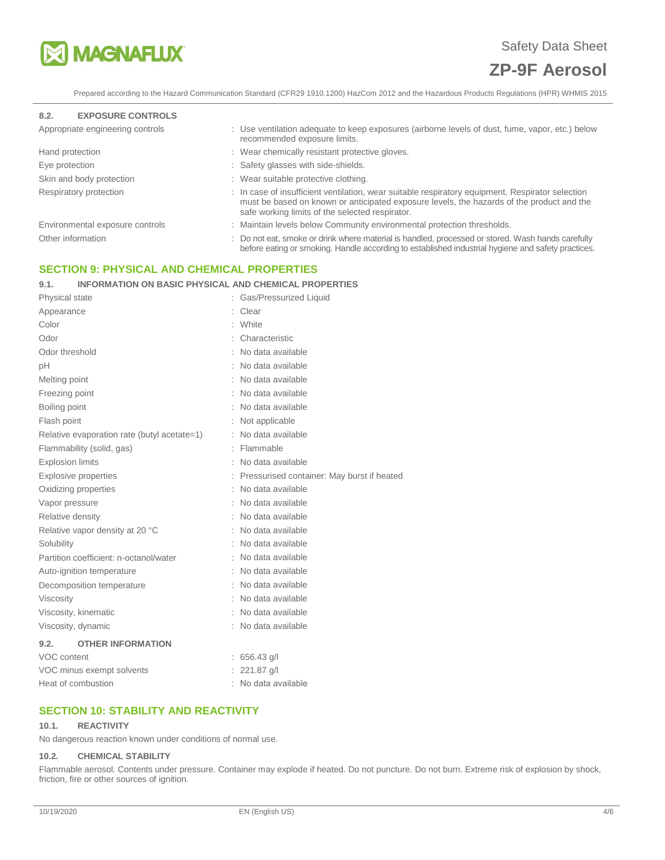

Prepared according to the Hazard Communication Standard (CFR29 1910.1200) HazCom 2012 and the Hazardous Products Regulations (HPR) WHMIS 2015

#### **8.2. EXPOSURE CONTROLS**

| Appropriate engineering controls | : Use ventilation adequate to keep exposures (airborne levels of dust, fume, vapor, etc.) below<br>recommended exposure limits.                                                                                                                  |
|----------------------------------|--------------------------------------------------------------------------------------------------------------------------------------------------------------------------------------------------------------------------------------------------|
| Hand protection                  | : Wear chemically resistant protective gloves.                                                                                                                                                                                                   |
| Eye protection                   | : Safety glasses with side-shields.                                                                                                                                                                                                              |
| Skin and body protection         | : Wear suitable protective clothing.                                                                                                                                                                                                             |
| Respiratory protection           | : In case of insufficient ventilation, wear suitable respiratory equipment. Respirator selection<br>must be based on known or anticipated exposure levels, the hazards of the product and the<br>safe working limits of the selected respirator. |
| Environmental exposure controls  | : Maintain levels below Community environmental protection thresholds.                                                                                                                                                                           |
| Other information                | : Do not eat, smoke or drink where material is handled, processed or stored. Wash hands carefully<br>before eating or smoking. Handle according to established industrial hygiene and safety practices.                                          |
|                                  |                                                                                                                                                                                                                                                  |

## **SECTION 9: PHYSICAL AND CHEMICAL PROPERTIES**

## **9.1. INFORMATION ON BASIC PHYSICAL AND CHEMICAL PROPERTIES**

| Physical state                              | Gas/Pressurized Liquid                       |
|---------------------------------------------|----------------------------------------------|
| Appearance                                  | Clear                                        |
| Color                                       | White                                        |
| Odor                                        | Characteristic                               |
| Odor threshold                              | : No data available                          |
| рH                                          | No data available                            |
| Melting point                               | No data available                            |
| Freezing point                              | : No data available                          |
| Boiling point                               | : No data available                          |
| Flash point                                 | : Not applicable                             |
| Relative evaporation rate (butyl acetate=1) | No data available                            |
| Flammability (solid, gas)                   | Flammable                                    |
| <b>Explosion limits</b>                     | No data available                            |
| <b>Explosive properties</b>                 | : Pressurised container: May burst if heated |
| Oxidizing properties                        | : No data available                          |
| Vapor pressure                              | : No data available                          |
| Relative density                            | : No data available                          |
| Relative vapor density at 20 °C             | No data available                            |
| Solubility                                  | : No data available                          |
| Partition coefficient: n-octanol/water      | : No data available                          |
| Auto-ignition temperature                   | : No data available                          |
| Decomposition temperature                   | : No data available                          |
| Viscosity                                   | No data available                            |
| Viscosity, kinematic                        | : No data available                          |
| Viscosity, dynamic                          | : No data available                          |
| 9.2.<br><b>OTHER INFORMATION</b>            |                                              |
| VOC content                                 | $: 656.43$ g/l                               |
| VOC minus exempt solvents                   | 221.87 g/l                                   |
| Heat of combustion                          | : No data available                          |

## **SECTION 10: STABILITY AND REACTIVITY**

#### **10.1. REACTIVITY**

No dangerous reaction known under conditions of normal use.

#### **10.2. CHEMICAL STABILITY**

Flammable aerosol. Contents under pressure. Container may explode if heated. Do not puncture. Do not burn. Extreme risk of explosion by shock, friction, fire or other sources of ignition.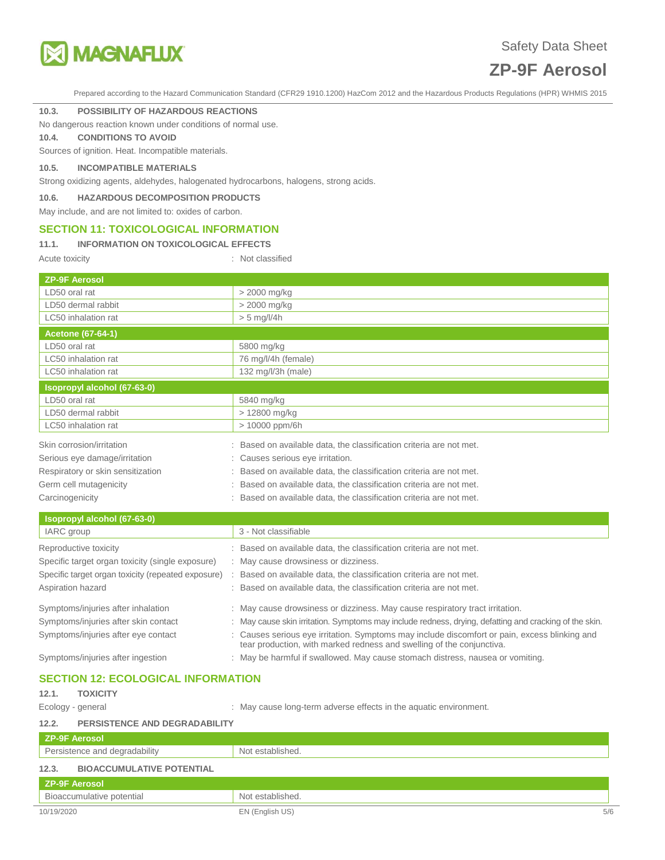

Prepared according to the Hazard Communication Standard (CFR29 1910.1200) HazCom 2012 and the Hazardous Products Regulations (HPR) WHMIS 2015

#### **10.3. POSSIBILITY OF HAZARDOUS REACTIONS**

No dangerous reaction known under conditions of normal use.

**10.4. CONDITIONS TO AVOID**

Sources of ignition. Heat. Incompatible materials.

### **10.5. INCOMPATIBLE MATERIALS**

Strong oxidizing agents, aldehydes, halogenated hydrocarbons, halogens, strong acids.

**10.6. HAZARDOUS DECOMPOSITION PRODUCTS**

#### May include, and are not limited to: oxides of carbon.

### **SECTION 11: TOXICOLOGICAL INFORMATION**

#### **11.1. INFORMATION ON TOXICOLOGICAL EFFECTS**

Acute toxicity **in the case of the Case of the Case of the Case of the Case of the Case of the Case of the Case of the Case of the Case of the Case of the Case of the Case of the Case of the Case of the Case of the Case of** 

| <b>ZP-9F Aerosol</b>                               |                                                                                                                                                                      |
|----------------------------------------------------|----------------------------------------------------------------------------------------------------------------------------------------------------------------------|
| LD50 oral rat                                      | > 2000 mg/kg                                                                                                                                                         |
| LD50 dermal rabbit                                 | > 2000 mg/kg                                                                                                                                                         |
| LC50 inhalation rat                                | $> 5$ mg/l/4h                                                                                                                                                        |
| <b>Acetone (67-64-1)</b>                           |                                                                                                                                                                      |
| LD50 oral rat                                      | 5800 mg/kg                                                                                                                                                           |
| LC50 inhalation rat                                | 76 mg/l/4h (female)                                                                                                                                                  |
| LC50 inhalation rat                                | 132 mg/l/3h (male)                                                                                                                                                   |
| Isopropyl alcohol (67-63-0)                        |                                                                                                                                                                      |
| LD50 oral rat                                      | 5840 mg/kg                                                                                                                                                           |
| LD50 dermal rabbit                                 | > 12800 mg/kg                                                                                                                                                        |
| LC50 inhalation rat                                | > 10000 ppm/6h                                                                                                                                                       |
| Skin corrosion/irritation                          | Based on available data, the classification criteria are not met.                                                                                                    |
| Serious eye damage/irritation                      | Causes serious eye irritation.                                                                                                                                       |
| Respiratory or skin sensitization                  | Based on available data, the classification criteria are not met.                                                                                                    |
| Germ cell mutagenicity                             | Based on available data, the classification criteria are not met.                                                                                                    |
| Carcinogenicity                                    | Based on available data, the classification criteria are not met.                                                                                                    |
| Isopropyl alcohol (67-63-0)                        |                                                                                                                                                                      |
| IARC group                                         | 3 - Not classifiable                                                                                                                                                 |
| Reproductive toxicity                              | : Based on available data, the classification criteria are not met.                                                                                                  |
| Specific target organ toxicity (single exposure)   | : May cause drowsiness or dizziness.                                                                                                                                 |
| Specific target organ toxicity (repeated exposure) | Based on available data, the classification criteria are not met.                                                                                                    |
| Aspiration hazard                                  | : Based on available data, the classification criteria are not met.                                                                                                  |
| Symptoms/injuries after inhalation                 | : May cause drowsiness or dizziness. May cause respiratory tract irritation.                                                                                         |
| Symptoms/injuries after skin contact               | May cause skin irritation. Symptoms may include redness, drying, defatting and cracking of the skin.                                                                 |
| Symptoms/injuries after eye contact                | Causes serious eye irritation. Symptoms may include discomfort or pain, excess blinking and<br>tear production, with marked redness and swelling of the conjunctiva. |
| Symptoms/injuries after ingestion                  | : May be harmful if swallowed. May cause stomach distress, nausea or vomiting.                                                                                       |
| <b>SECTION 12: ECOLOGICAL INFORMATION</b>          |                                                                                                                                                                      |
|                                                    |                                                                                                                                                                      |

## **12.1. TOXICITY**

Ecology - general **Ecology** - general  $\cdot$  May cause long-term adverse effects in the aquatic environment.

### **12.2. PERSISTENCE AND DEGRADABILITY**

| <b>ZP-9F Aerosol</b>                      |                  |     |
|-------------------------------------------|------------------|-----|
| Persistence and degradability             | Not established. |     |
| 12.3.<br><b>BIOACCUMULATIVE POTENTIAL</b> |                  |     |
| <b>ZP-9F Aerosol</b>                      |                  |     |
| Bioaccumulative potential                 | Not established. |     |
| 10/19/2020                                | EN (English US)  | 5/6 |